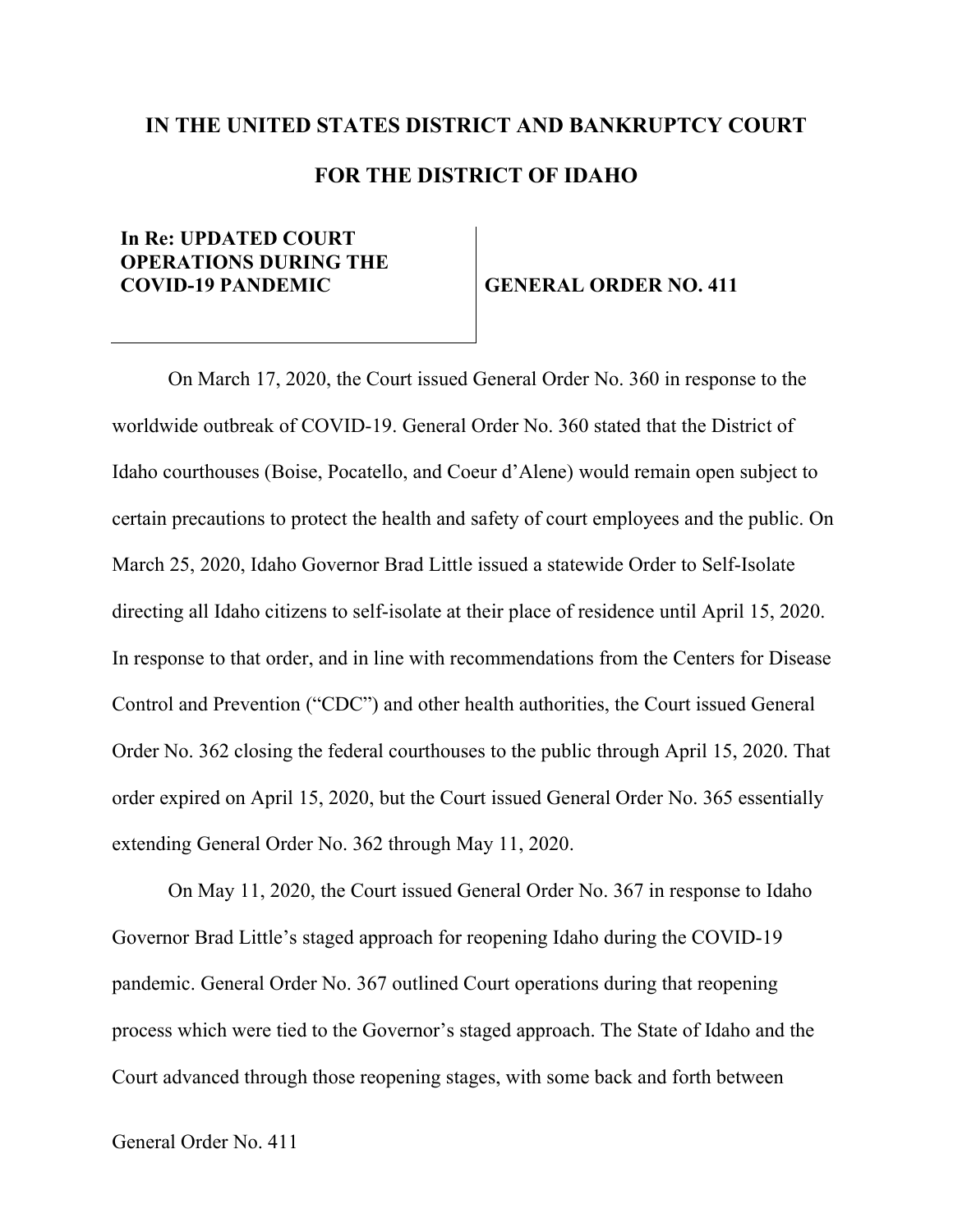## **IN THE UNITED STATES DISTRICT AND BANKRUPTCY COURT FOR THE DISTRICT OF IDAHO**

## **In Re: UPDATED COURT OPERATIONS DURING THE COVID-19 PANDEMIC GENERAL ORDER NO. 411**

On March 17, 2020, the Court issued General Order No. 360 in response to the worldwide outbreak of COVID-19. General Order No. 360 stated that the District of Idaho courthouses (Boise, Pocatello, and Coeur d'Alene) would remain open subject to certain precautions to protect the health and safety of court employees and the public. On March 25, 2020, Idaho Governor Brad Little issued a statewide Order to Self-Isolate directing all Idaho citizens to self-isolate at their place of residence until April 15, 2020. In response to that order, and in line with recommendations from the Centers for Disease Control and Prevention ("CDC") and other health authorities, the Court issued General Order No. 362 closing the federal courthouses to the public through April 15, 2020. That order expired on April 15, 2020, but the Court issued General Order No. 365 essentially extending General Order No. 362 through May 11, 2020.

On May 11, 2020, the Court issued General Order No. 367 in response to Idaho Governor Brad Little's staged approach for reopening Idaho during the COVID-19 pandemic. General Order No. 367 outlined Court operations during that reopening process which were tied to the Governor's staged approach. The State of Idaho and the Court advanced through those reopening stages, with some back and forth between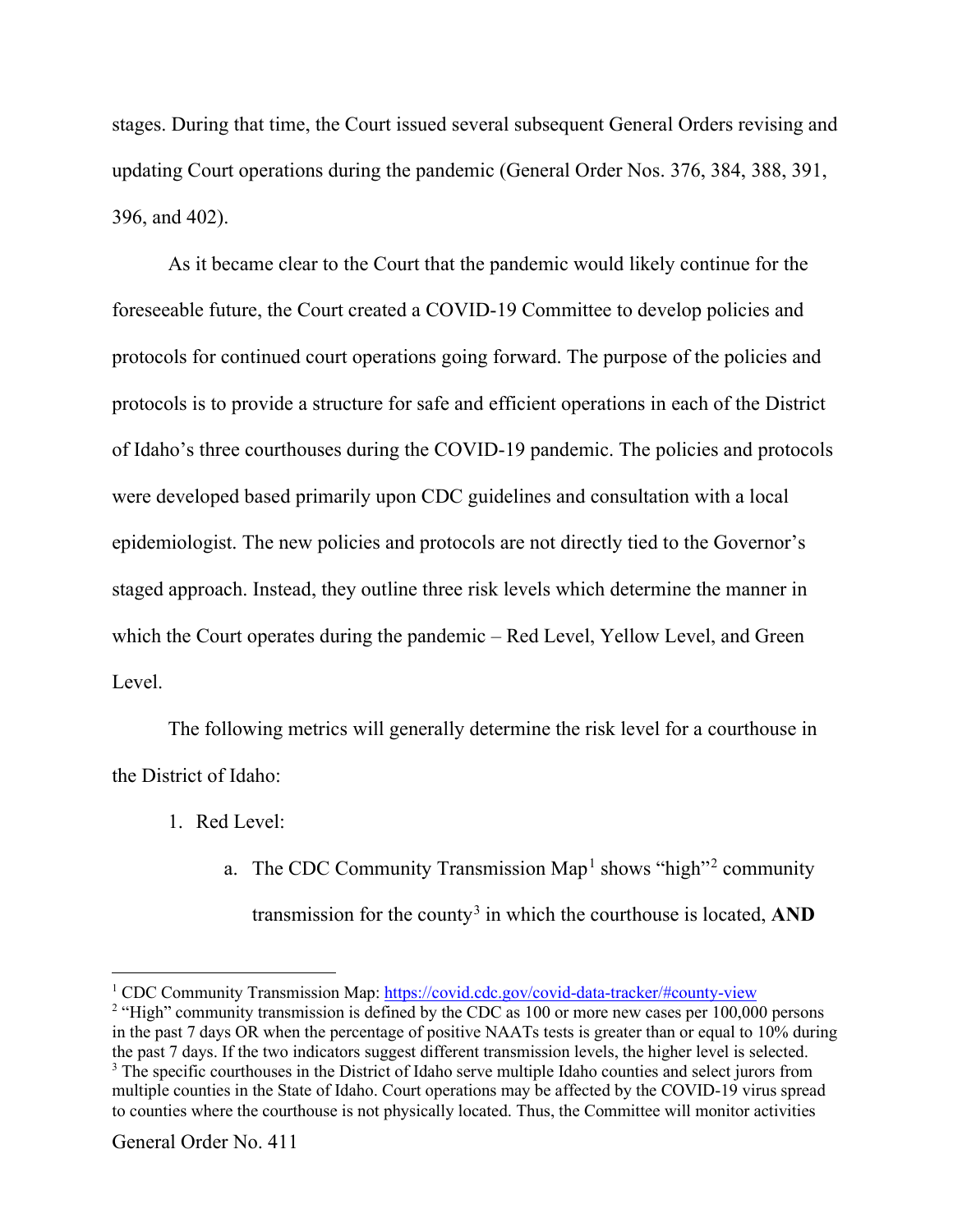stages. During that time, the Court issued several subsequent General Orders revising and updating Court operations during the pandemic (General Order Nos. 376, 384, 388, 391, 396, and 402).

As it became clear to the Court that the pandemic would likely continue for the foreseeable future, the Court created a COVID-19 Committee to develop policies and protocols for continued court operations going forward. The purpose of the policies and protocols is to provide a structure for safe and efficient operations in each of the District of Idaho's three courthouses during the COVID-19 pandemic. The policies and protocols were developed based primarily upon CDC guidelines and consultation with a local epidemiologist. The new policies and protocols are not directly tied to the Governor's staged approach. Instead, they outline three risk levels which determine the manner in which the Court operates during the pandemic – Red Level, Yellow Level, and Green Level.

The following metrics will generally determine the risk level for a courthouse in the District of Idaho:

- 1. Red Level:
	- a. The CDC Community Transmission Map<sup>1</sup> shows "high"<sup>2</sup> community transmission for the county3 in which the courthouse is located, **AND**

<sup>&</sup>lt;sup>1</sup> CDC Community Transmission Map: https://covid.cdc.gov/covid-data-tracker/#county-view

<sup>&</sup>lt;sup>2</sup> "High" community transmission is defined by the CDC as  $100$  or more new cases per  $100,000$  persons in the past 7 days OR when the percentage of positive NAATs tests is greater than or equal to 10% during the past 7 days. If the two indicators suggest different transmission levels, the higher level is selected. <sup>3</sup> The specific courthouses in the District of Idaho serve multiple Idaho counties and select jurors from multiple counties in the State of Idaho. Court operations may be affected by the COVID-19 virus spread to counties where the courthouse is not physically located. Thus, the Committee will monitor activities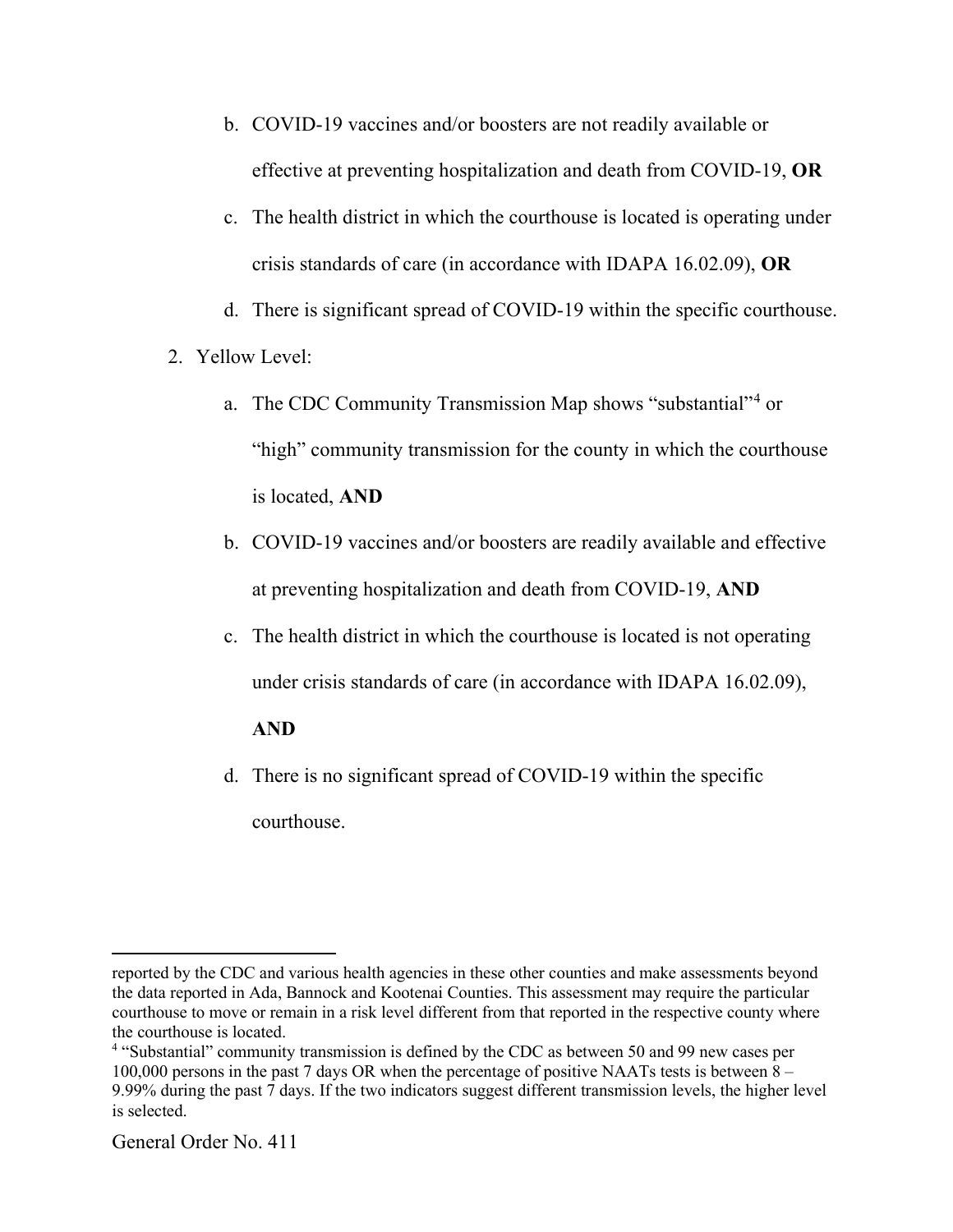- b. COVID-19 vaccines and/or boosters are not readily available or effective at preventing hospitalization and death from COVID-19, **OR**
- c. The health district in which the courthouse is located is operating under crisis standards of care (in accordance with IDAPA 16.02.09), **OR**
- d. There is significant spread of COVID-19 within the specific courthouse.
- 2. Yellow Level:
	- a. The CDC Community Transmission Map shows "substantial"4 or "high" community transmission for the county in which the courthouse is located, **AND**
	- b. COVID-19 vaccines and/or boosters are readily available and effective at preventing hospitalization and death from COVID-19, **AND**
	- c. The health district in which the courthouse is located is not operating under crisis standards of care (in accordance with IDAPA 16.02.09),

## **AND**

d. There is no significant spread of COVID-19 within the specific courthouse.

reported by the CDC and various health agencies in these other counties and make assessments beyond the data reported in Ada, Bannock and Kootenai Counties. This assessment may require the particular courthouse to move or remain in a risk level different from that reported in the respective county where the courthouse is located.

<sup>4</sup> "Substantial" community transmission is defined by the CDC as between 50 and 99 new cases per 100,000 persons in the past 7 days OR when the percentage of positive NAATs tests is between  $8 -$ 9.99% during the past 7 days. If the two indicators suggest different transmission levels, the higher level is selected.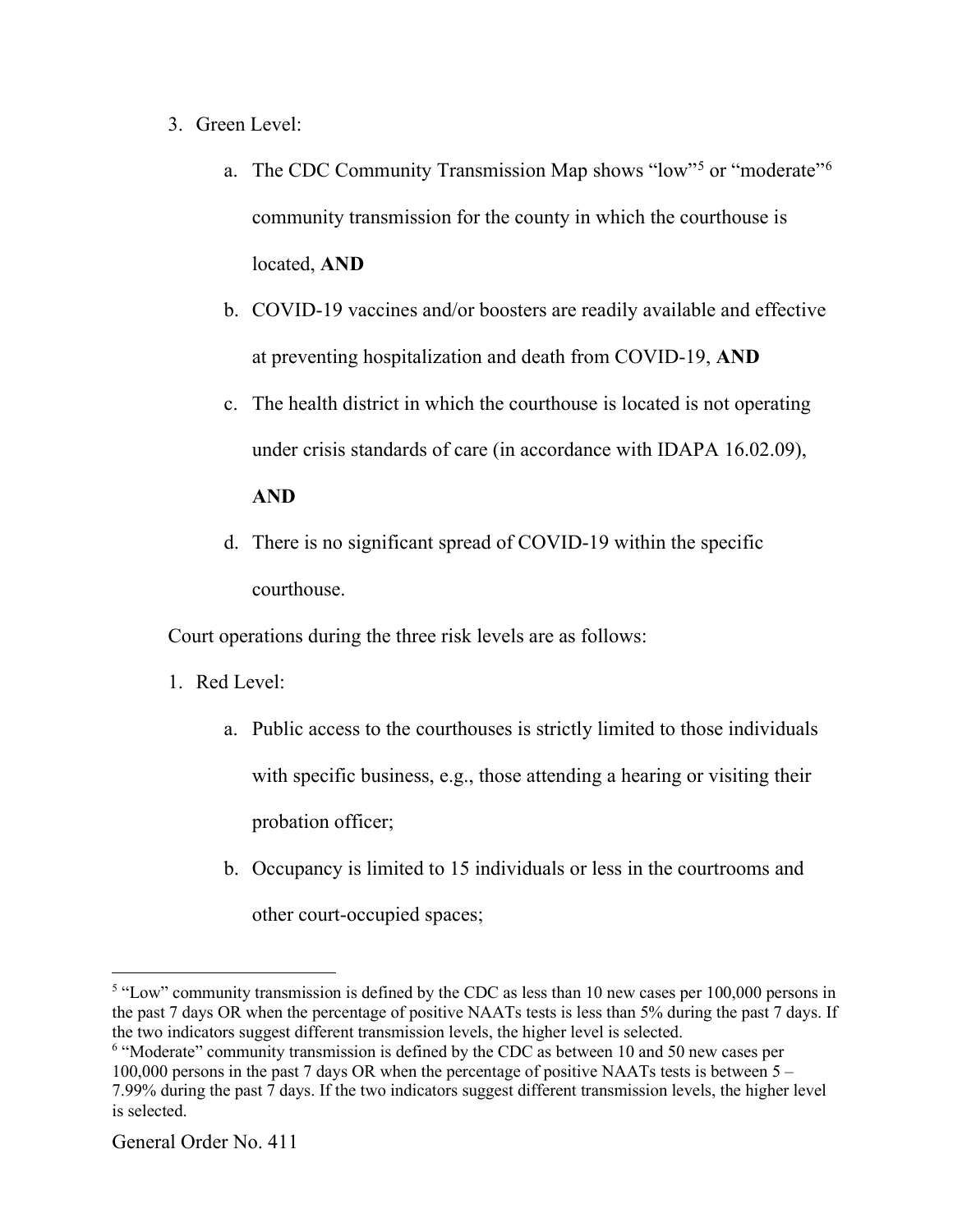- 3. Green Level:
	- a. The CDC Community Transmission Map shows "low"<sup>5</sup> or "moderate"<sup>6</sup> community transmission for the county in which the courthouse is located, **AND**
	- b. COVID-19 vaccines and/or boosters are readily available and effective at preventing hospitalization and death from COVID-19, **AND**
	- c. The health district in which the courthouse is located is not operating under crisis standards of care (in accordance with IDAPA 16.02.09),

## **AND**

d. There is no significant spread of COVID-19 within the specific courthouse.

Court operations during the three risk levels are as follows:

- 1. Red Level:
	- a. Public access to the courthouses is strictly limited to those individuals with specific business, e.g., those attending a hearing or visiting their probation officer;
	- b. Occupancy is limited to 15 individuals or less in the courtrooms and other court-occupied spaces;

<sup>6</sup> "Moderate" community transmission is defined by the CDC as between 10 and 50 new cases per 100,000 persons in the past 7 days OR when the percentage of positive NAATs tests is between 5 – 7.99% during the past 7 days. If the two indicators suggest different transmission levels, the higher level is selected.

<sup>&</sup>lt;sup>5</sup> "Low" community transmission is defined by the CDC as less than 10 new cases per 100,000 persons in the past 7 days OR when the percentage of positive NAATs tests is less than 5% during the past 7 days. If the two indicators suggest different transmission levels, the higher level is selected.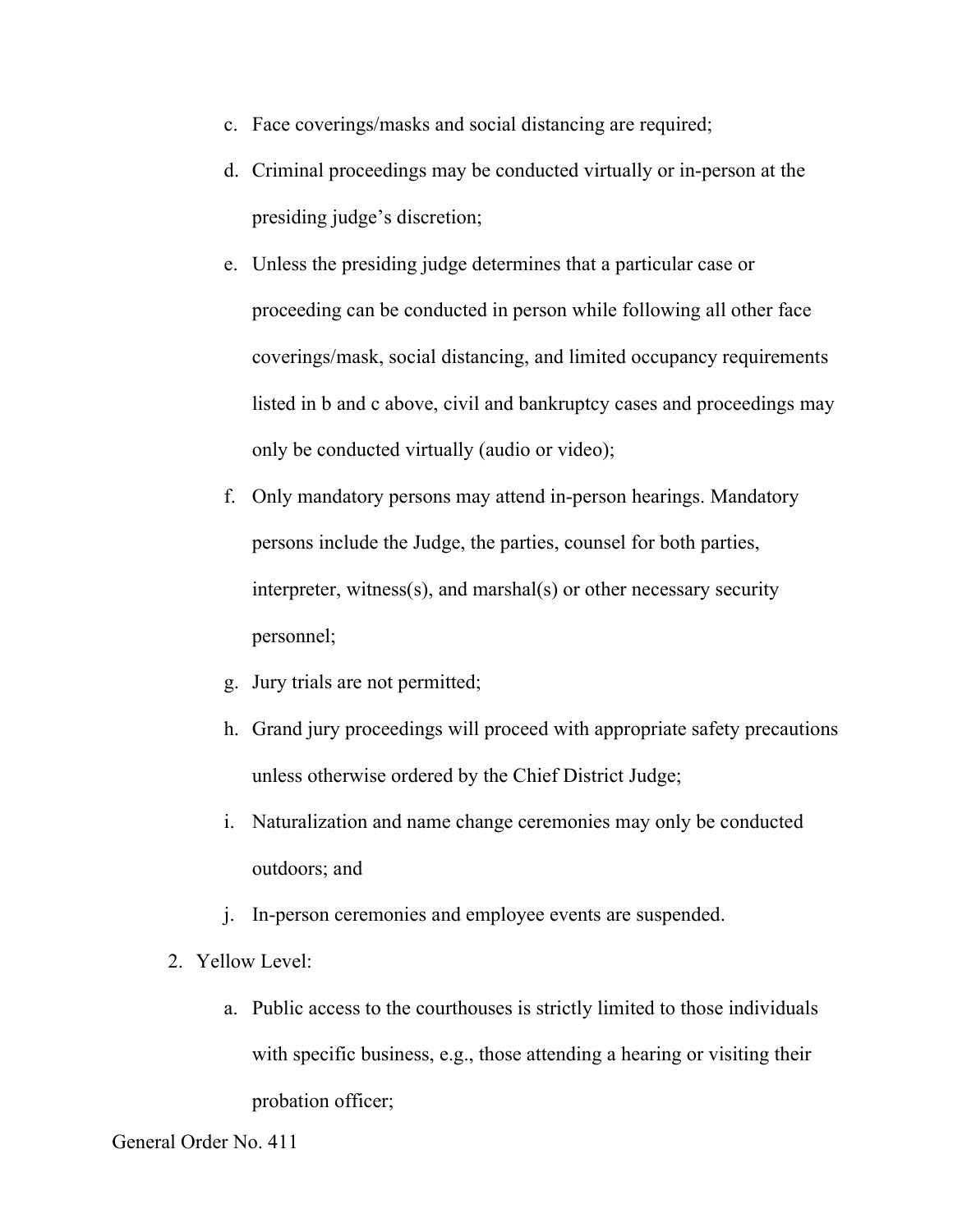- c. Face coverings/masks and social distancing are required;
- d. Criminal proceedings may be conducted virtually or in-person at the presiding judge's discretion;
- e. Unless the presiding judge determines that a particular case or proceeding can be conducted in person while following all other face coverings/mask, social distancing, and limited occupancy requirements listed in b and c above, civil and bankruptcy cases and proceedings may only be conducted virtually (audio or video);
- f. Only mandatory persons may attend in-person hearings. Mandatory persons include the Judge, the parties, counsel for both parties, interpreter, witness(s), and marshal(s) or other necessary security personnel;
- g. Jury trials are not permitted;
- h. Grand jury proceedings will proceed with appropriate safety precautions unless otherwise ordered by the Chief District Judge;
- i. Naturalization and name change ceremonies may only be conducted outdoors; and
- j. In-person ceremonies and employee events are suspended.
- 2. Yellow Level:
	- a. Public access to the courthouses is strictly limited to those individuals with specific business, e.g., those attending a hearing or visiting their probation officer;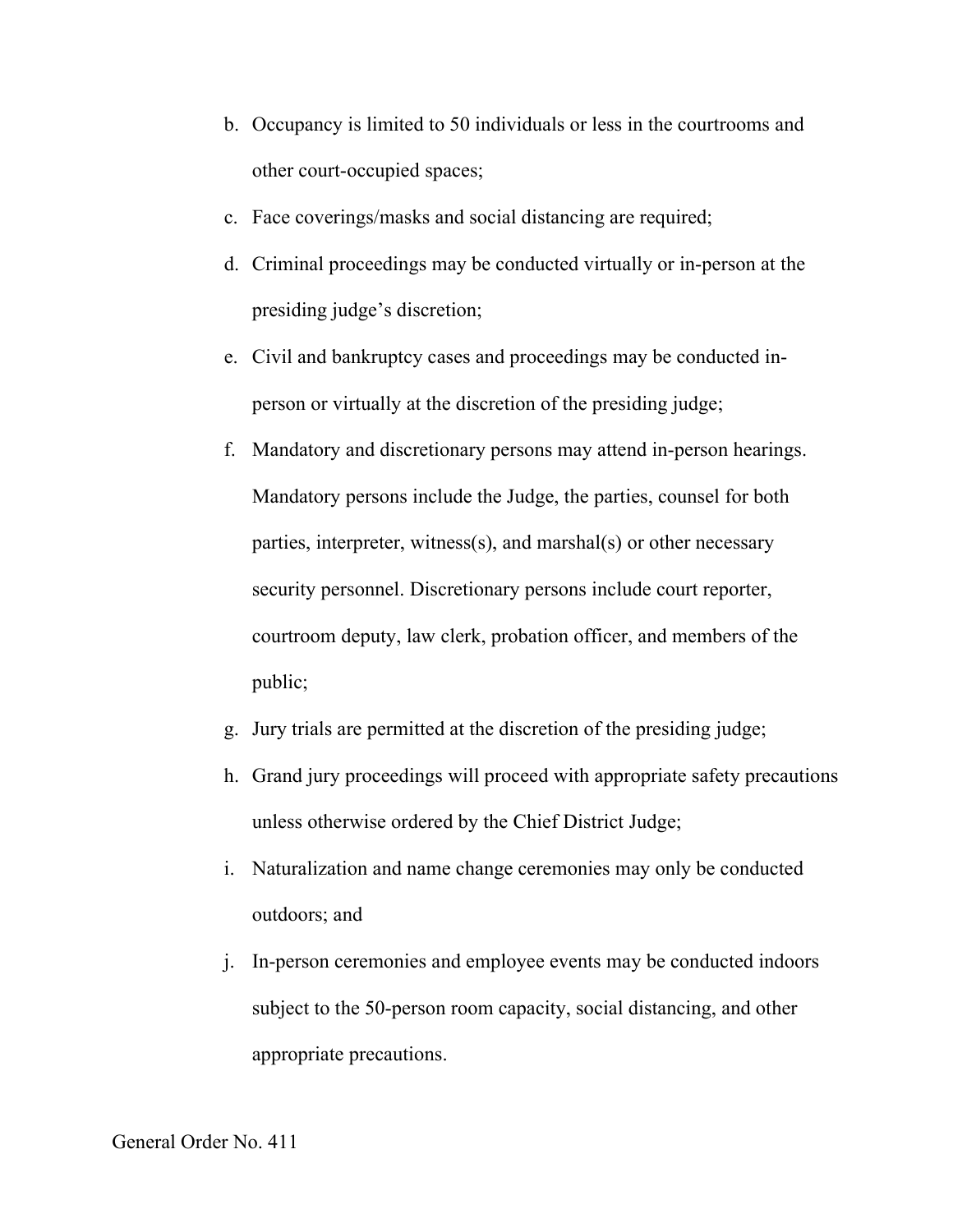- b. Occupancy is limited to 50 individuals or less in the courtrooms and other court-occupied spaces;
- c. Face coverings/masks and social distancing are required;
- d. Criminal proceedings may be conducted virtually or in-person at the presiding judge's discretion;
- e. Civil and bankruptcy cases and proceedings may be conducted inperson or virtually at the discretion of the presiding judge;
- f. Mandatory and discretionary persons may attend in-person hearings. Mandatory persons include the Judge, the parties, counsel for both parties, interpreter, witness(s), and marshal(s) or other necessary security personnel. Discretionary persons include court reporter, courtroom deputy, law clerk, probation officer, and members of the public;
- g. Jury trials are permitted at the discretion of the presiding judge;
- h. Grand jury proceedings will proceed with appropriate safety precautions unless otherwise ordered by the Chief District Judge;
- i. Naturalization and name change ceremonies may only be conducted outdoors; and
- j. In-person ceremonies and employee events may be conducted indoors subject to the 50-person room capacity, social distancing, and other appropriate precautions.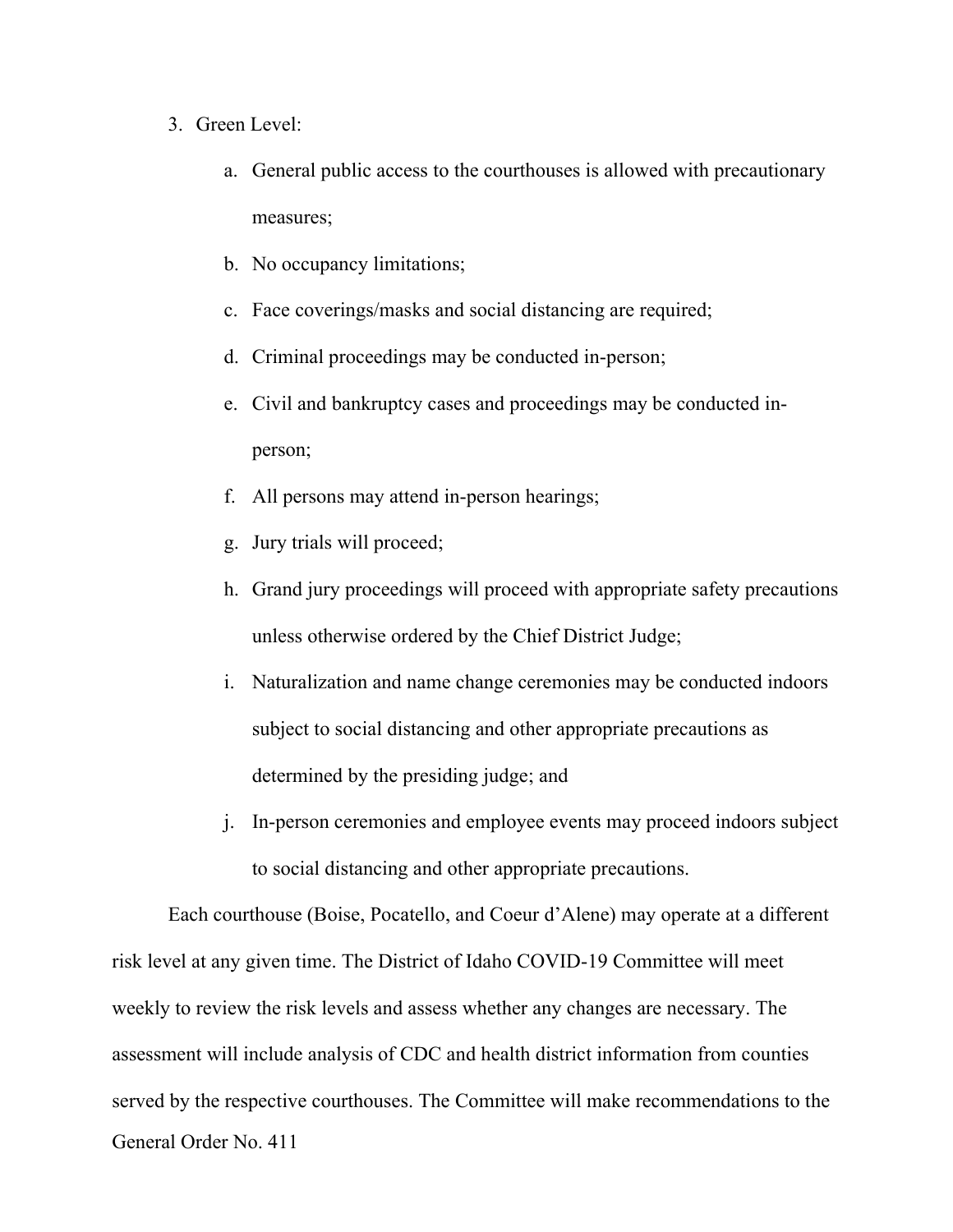- 3. Green Level:
	- a. General public access to the courthouses is allowed with precautionary measures;
	- b. No occupancy limitations;
	- c. Face coverings/masks and social distancing are required;
	- d. Criminal proceedings may be conducted in-person;
	- e. Civil and bankruptcy cases and proceedings may be conducted inperson;
	- f. All persons may attend in-person hearings;
	- g. Jury trials will proceed;
	- h. Grand jury proceedings will proceed with appropriate safety precautions unless otherwise ordered by the Chief District Judge;
	- i. Naturalization and name change ceremonies may be conducted indoors subject to social distancing and other appropriate precautions as determined by the presiding judge; and
	- j. In-person ceremonies and employee events may proceed indoors subject to social distancing and other appropriate precautions.

General Order No. 411 Each courthouse (Boise, Pocatello, and Coeur d'Alene) may operate at a different risk level at any given time. The District of Idaho COVID-19 Committee will meet weekly to review the risk levels and assess whether any changes are necessary. The assessment will include analysis of CDC and health district information from counties served by the respective courthouses. The Committee will make recommendations to the